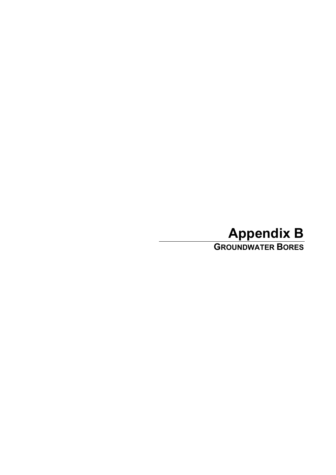## **Appendix B GROUNDWATER BORES**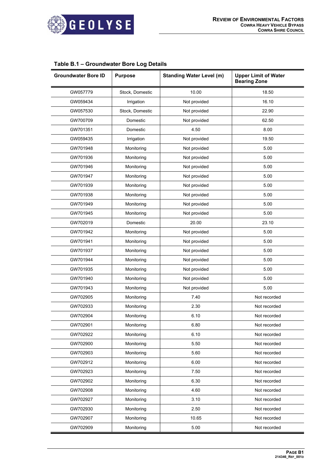

## **Table B.1 – Groundwater Bore Log Details**

| <b>Groundwater Bore ID</b> | <b>Purpose</b>  | <b>Standing Water Level (m)</b> | <b>Upper Limit of Water</b><br><b>Bearing Zone</b> |
|----------------------------|-----------------|---------------------------------|----------------------------------------------------|
| GW057779                   | Stock, Domestic | 10.00                           | 18.50                                              |
| GW059434                   | Irrigation      | Not provided                    | 16.10                                              |
| GW057530                   | Stock, Domestic | Not provided                    | 22.90                                              |
| GW700709                   | Domestic        | Not provided                    | 62.50                                              |
| GW701351                   | Domestic        | 4.50                            | 8.00                                               |
| GW059435                   | Irrigation      | Not provided                    | 19.50                                              |
| GW701948                   | Monitoring      | Not provided                    | 5.00                                               |
| GW701936                   | Monitoring      | Not provided                    | 5.00                                               |
| GW701946                   | Monitoring      | Not provided                    | 5.00                                               |
| GW701947                   | Monitoring      | Not provided                    | 5.00                                               |
| GW701939                   | Monitoring      | Not provided                    | 5.00                                               |
| GW701938                   | Monitoring      | Not provided                    | 5.00                                               |
| GW701949                   | Monitoring      | Not provided                    | 5.00                                               |
| GW701945                   | Monitoring      | Not provided                    | 5.00                                               |
| GW702019                   | Domestic        | 20.00                           | 23.10                                              |
| GW701942                   | Monitoring      | Not provided                    | 5.00                                               |
| GW701941                   | Monitoring      | Not provided                    | 5.00                                               |
| GW701937                   | Monitoring      | Not provided                    | 5.00                                               |
| GW701944                   | Monitoring      | Not provided                    | 5.00                                               |
| GW701935                   | Monitoring      | Not provided                    | 5.00                                               |
| GW701940                   | Monitoring      | Not provided                    | 5.00                                               |
| GW701943                   | Monitoring      | Not provided                    | 5.00                                               |
| GW702905                   | Monitoring      | 7.40                            | Not recorded                                       |
| GW702933                   | Monitoring      | 2.30                            | Not recorded                                       |
| GW702904                   | Monitoring      | 6.10                            | Not recorded                                       |
| GW702901                   | Monitoring      | 6.80                            | Not recorded                                       |
| GW702922                   | Monitoring      | 6.10                            | Not recorded                                       |
| GW702900                   | Monitoring      | 5.50                            | Not recorded                                       |
| GW702903                   | Monitoring      | 5.60                            | Not recorded                                       |
| GW702912                   | Monitoring      | 6.00                            | Not recorded                                       |
| GW702923                   | Monitoring      | 7.50                            | Not recorded                                       |
| GW702902                   | Monitoring      | 6.30                            | Not recorded                                       |
| GW702908                   | Monitoring      | 4.60                            | Not recorded                                       |
| GW702927                   | Monitoring      | 3.10                            | Not recorded                                       |
| GW702930                   | Monitoring      | 2.50                            | Not recorded                                       |
| GW702907                   | Monitoring      | 10.65                           | Not recorded                                       |
| GW702909                   | Monitoring      | 5.00                            | Not recorded                                       |